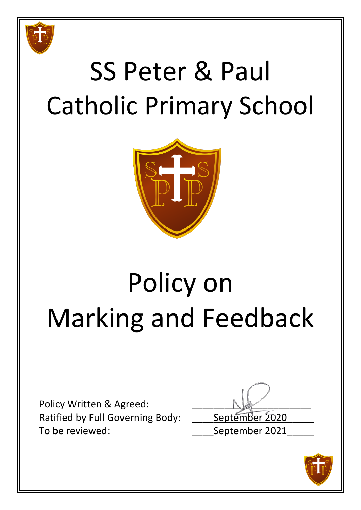

# SS Peter & Paul Catholic Primary School



# Policy on Marking and Feedback

Policy Written & Agreed: Ratified by Full Governing Body: \_\_\_\_\_ September 2020 To be reviewed: To be reviewed:

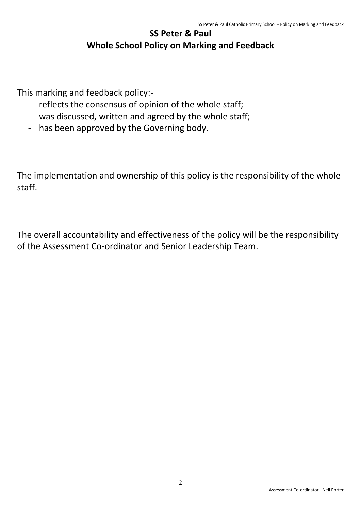## **SS Peter & Paul Whole School Policy on Marking and Feedback**

This marking and feedback policy:-

- reflects the consensus of opinion of the whole staff;
- was discussed, written and agreed by the whole staff;
- has been approved by the Governing body.

The implementation and ownership of this policy is the responsibility of the whole staff.

The overall accountability and effectiveness of the policy will be the responsibility of the Assessment Co-ordinator and Senior Leadership Team.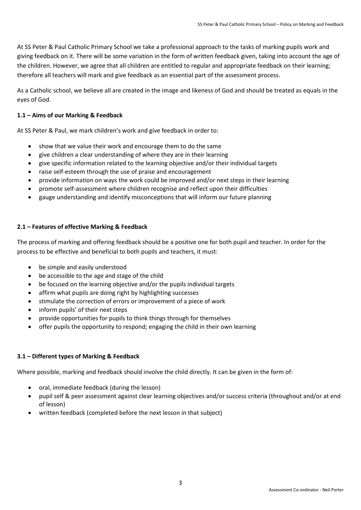At SS Peter & Paul Catholic Primary School we take a professional approach to the tasks of marking pupils work and giving feedback on it. There will be some variation in the form of written feedback given, taking into account the age of the children. However, we agree that all children are entitled to regular and appropriate feedback on their learning; therefore all teachers will mark and give feedback as an essential part of the assessment process.

As a Catholic school, we believe all are created in the image and likeness of God and should be treated as equals in the eyes of God.

#### **1.1 – Aims of our Marking & Feedback**

At SS Peter & Paul, we mark children's work and give feedback in order to:

- show that we value their work and encourage them to do the same
- give children a clear understanding of where they are in their learning
- give specific information related to the learning objective and/or their individual targets
- raise self-esteem through the use of praise and encouragement
- provide information on ways the work could be improved and/or next steps in their learning
- promote self-assessment where children recognise and reflect upon their difficulties
- gauge understanding and identify misconceptions that will inform our future planning

#### **2.1 – Features of effective Marking & Feedback**

The process of marking and offering feedback should be a positive one for both pupil and teacher. In order for the process to be effective and beneficial to both pupils and teachers, it must:

- be simple and easily understood
- be accessible to the age and stage of the child
- be focused on the learning objective and/or the pupils individual targets
- affirm what pupils are doing right by highlighting successes
- stimulate the correction of errors or improvement of a piece of work
- inform pupils' of their next steps
- provide opportunities for pupils to think things through for themselves
- offer pupils the opportunity to respond; engaging the child in their own learning

#### **3.1 – Different types of Marking & Feedback**

Where possible, marking and feedback should involve the child directly. It can be given in the form of:

- oral, immediate feedback (during the lesson)
- pupil self & peer assessment against clear learning objectives and/or success criteria (throughout and/or at end of lesson)
- written feedback (completed before the next lesson in that subject)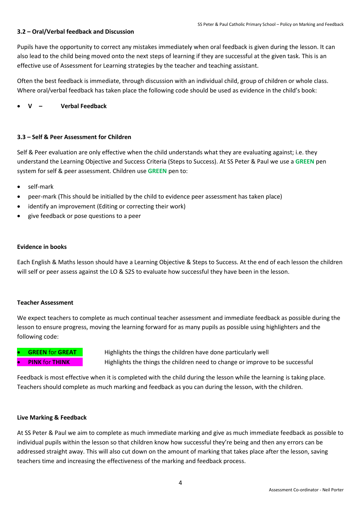#### **3.2 – Oral/Verbal feedback and Discussion**

Pupils have the opportunity to correct any mistakes immediately when oral feedback is given during the lesson. It can also lead to the child being moved onto the next steps of learning if they are successful at the given task. This is an effective use of Assessment for Learning strategies by the teacher and teaching assistant.

Often the best feedback is immediate, through discussion with an individual child, group of children or whole class. Where oral/verbal feedback has taken place the following code should be used as evidence in the child's book:

**V – Verbal Feedback**

#### **3.3 – Self & Peer Assessment for Children**

Self & Peer evaluation are only effective when the child understands what they are evaluating against; i.e. they understand the Learning Objective and Success Criteria (Steps to Success). At SS Peter & Paul we use a **GREEN** pen system for self & peer assessment. Children use **GREEN** pen to:

- self-mark
- peer-mark (This should be initialled by the child to evidence peer assessment has taken place)
- identify an improvement (Editing or correcting their work)
- give feedback or pose questions to a peer

#### **Evidence in books**

Each English & Maths lesson should have a Learning Objective & Steps to Success. At the end of each lesson the children will self or peer assess against the LO & S2S to evaluate how successful they have been in the lesson.

#### **Teacher Assessment**

We expect teachers to complete as much continual teacher assessment and immediate feedback as possible during the lesson to ensure progress, moving the learning forward for as many pupils as possible using highlighters and the following code:

**GREEN** for **GREAT** Highlights the things the children have done particularly well **PINK** for **THINK** Highlights the things the children need to change or improve to be successful

Feedback is most effective when it is completed with the child during the lesson while the learning is taking place. Teachers should complete as much marking and feedback as you can during the lesson, with the children.

#### **Live Marking & Feedback**

At SS Peter & Paul we aim to complete as much immediate marking and give as much immediate feedback as possible to individual pupils within the lesson so that children know how successful they're being and then any errors can be addressed straight away. This will also cut down on the amount of marking that takes place after the lesson, saving teachers time and increasing the effectiveness of the marking and feedback process.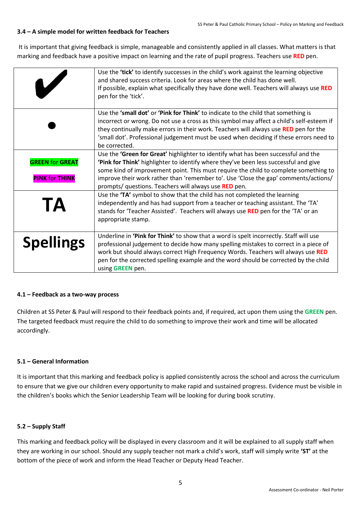#### **3.4 – A simple model for written feedback for Teachers**

It is important that giving feedback is simple, manageable and consistently applied in all classes. What matters is that marking and feedback have a positive impact on learning and the rate of pupil progress. Teachers use **RED** pen.

|                                                 | Use the 'tick' to identify successes in the child's work against the learning objective<br>and shared success criteria. Look for areas where the child has done well.<br>If possible, explain what specifically they have done well. Teachers will always use RED<br>pen for the 'tick'.                                                                                                                                  |
|-------------------------------------------------|---------------------------------------------------------------------------------------------------------------------------------------------------------------------------------------------------------------------------------------------------------------------------------------------------------------------------------------------------------------------------------------------------------------------------|
|                                                 | Use the 'small dot' or 'Pink for Think' to indicate to the child that something is<br>incorrect or wrong. Do not use a cross as this symbol may affect a child's self-esteem if<br>they continually make errors in their work. Teachers will always use RED pen for the<br>'small dot'. Professional judgement must be used when deciding if these errors need to<br>be corrected.                                        |
| <b>GREEN for GREAT</b><br><b>PINK for THINK</b> | Use the 'Green for Great' highlighter to identify what has been successful and the<br>'Pink for Think' highlighter to identify where they've been less successful and give<br>some kind of improvement point. This must require the child to complete something to<br>improve their work rather than 'remember to'. Use 'Close the gap' comments/actions/<br>prompts/ questions. Teachers will always use <b>RED</b> pen. |
| <b>TA</b>                                       | Use the 'TA' symbol to show that the child has not completed the learning<br>independently and has had support from a teacher or teaching assistant. The 'TA'<br>stands for 'Teacher Assisted'. Teachers will always use RED pen for the 'TA' or an<br>appropriate stamp.                                                                                                                                                 |
| <b>Spellings</b>                                | Underline in 'Pink for Think' to show that a word is spelt incorrectly. Staff will use<br>professional judgement to decide how many spelling mistakes to correct in a piece of<br>work but should always correct High Frequency Words. Teachers will always use RED<br>pen for the corrected spelling example and the word should be corrected by the child<br>using GREEN pen.                                           |

#### **4.1 – Feedback as a two-way process**

Children at SS Peter & Paul will respond to their feedback points and, if required, act upon them using the **GREEN** pen. The targeted feedback must require the child to do something to improve their work and time will be allocated accordingly.

#### **5.1 – General Information**

It is important that this marking and feedback policy is applied consistently across the school and across the curriculum to ensure that we give our children every opportunity to make rapid and sustained progress. Evidence must be visible in the children's books which the Senior Leadership Team will be looking for during book scrutiny.

#### **5.2 – Supply Staff**

This marking and feedback policy will be displayed in every classroom and it will be explained to all supply staff when they are working in our school. Should any supply teacher not mark a child's work, staff will simply write **'ST'** at the bottom of the piece of work and inform the Head Teacher or Deputy Head Teacher.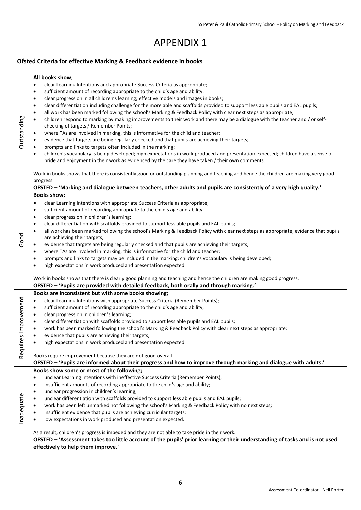## APPENDIX 1

### **Ofsted Criteria for effective Marking & Feedback evidence in books**

|                | All books show;                                                                                                                                   |
|----------------|---------------------------------------------------------------------------------------------------------------------------------------------------|
|                |                                                                                                                                                   |
|                | clear Learning Intentions and appropriate Success Criteria as appropriate;<br>$\bullet$                                                           |
|                | sufficient amount of recording appropriate to the child's age and ability;<br>$\bullet$                                                           |
|                | clear progression in all children's learning; effective models and images in books;<br>$\bullet$                                                  |
|                | clear differentiation including challenge for the more able and scaffolds provided to support less able pupils and EAL pupils;<br>$\bullet$       |
|                | all work has been marked following the school's Marking & Feedback Policy with clear next steps as appropriate;<br>$\bullet$                      |
|                | children respond to marking by making improvements to their work and there may be a dialogue with the teacher and / or self-<br>$\bullet$         |
|                | checking of targets / Remember Points;                                                                                                            |
| Outstanding    | where TAs are involved in marking, this is informative for the child and teacher;<br>$\bullet$                                                    |
|                | evidence that targets are being regularly checked and that pupils are achieving their targets;<br>$\bullet$                                       |
|                | prompts and links to targets often included in the marking;<br>$\bullet$                                                                          |
|                | children's vocabulary is being developed; high expectations in work produced and presentation expected; children have a sense of<br>$\bullet$     |
|                | pride and enjoyment in their work as evidenced by the care they have taken / their own comments.                                                  |
|                | Work in books shows that there is consistently good or outstanding planning and teaching and hence the children are making very good<br>progress. |
|                | OFSTED - 'Marking and dialogue between teachers, other adults and pupils are consistently of a very high quality.'                                |
|                | <b>Books show;</b>                                                                                                                                |
|                | clear Learning Intentions with appropriate Success Criteria as appropriate;<br>$\bullet$                                                          |
|                | sufficient amount of recording appropriate to the child's age and ability;<br>$\bullet$                                                           |
|                | clear progression in children's learning;<br>$\bullet$                                                                                            |
|                | clear differentiation with scaffolds provided to support less able pupils and EAL pupils;<br>$\bullet$                                            |
|                | all work has been marked following the school's Marking & Feedback Policy with clear next steps as appropriate; evidence that pupils<br>$\bullet$ |
| Good           | are achieving their targets;                                                                                                                      |
|                | evidence that targets are being regularly checked and that pupils are achieving their targets;<br>٠                                               |
|                | where TAs are involved in marking, this is informative for the child and teacher;<br>$\bullet$                                                    |
|                | prompts and links to targets may be included in the marking; children's vocabulary is being developed;<br>$\bullet$                               |
|                | high expectations in work produced and presentation expected.<br>$\bullet$                                                                        |
|                | Work in books shows that there is clearly good planning and teaching and hence the children are making good progress.                             |
|                | OFSTED - 'Pupils are provided with detailed feedback, both orally and through marking.'                                                           |
|                | Books are inconsistent but with some books showing;                                                                                               |
|                | clear Learning Intentions with appropriate Success Criteria (Remember Points);<br>$\bullet$                                                       |
|                | sufficient amount of recording appropriate to the child's age and ability;<br>$\bullet$                                                           |
|                | clear progression in children's learning;<br>$\bullet$                                                                                            |
|                | clear differentiation with scaffolds provided to support less able pupils and EAL pupils;<br>$\bullet$                                            |
|                | $\bullet$                                                                                                                                         |
| es Improvement | work has been marked following the school's Marking & Feedback Policy with clear next steps as appropriate;                                       |
|                | evidence that pupils are achieving their targets;<br>$\bullet$                                                                                    |
|                | high expectations in work produced and presentation expected.                                                                                     |
| Requir         | Books require improvement because they are not good overall.                                                                                      |
|                | OFSTED - 'Pupils are informed about their progress and how to improve through marking and dialogue with adults.'                                  |
|                | Books show some or most of the following;                                                                                                         |
|                | unclear Learning Intentions with ineffective Success Criteria (Remember Points);<br>$\bullet$                                                     |
|                | insufficient amounts of recording appropriate to the child's age and ability;<br>$\bullet$                                                        |
|                | unclear progression in children's learning;<br>$\bullet$                                                                                          |
| Inadequate     | unclear differentiation with scaffolds provided to support less able pupils and EAL pupils;<br>$\bullet$                                          |
|                | work has been left unmarked not following the school's Marking & Feedback Policy with no next steps;<br>٠                                         |
|                | insufficient evidence that pupils are achieving curricular targets;<br>$\bullet$                                                                  |
|                | low expectations in work produced and presentation expected.<br>$\bullet$                                                                         |
|                | As a result, children's progress is impeded and they are not able to take pride in their work.                                                    |
|                | OFSTED - 'Assessment takes too little account of the pupils' prior learning or their understanding of tasks and is not used                       |
|                |                                                                                                                                                   |
|                | effectively to help them improve.'                                                                                                                |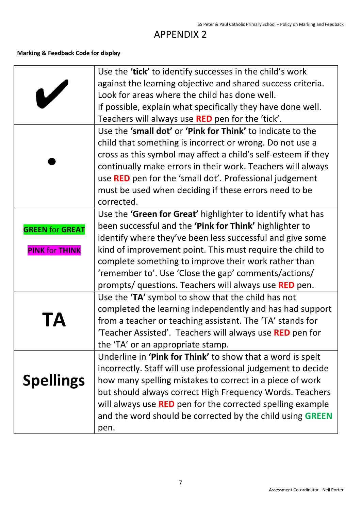## APPENDIX 2

### **Marking & Feedback Code for display**

|                        | Use the 'tick' to identify successes in the child's work          |  |
|------------------------|-------------------------------------------------------------------|--|
|                        | against the learning objective and shared success criteria.       |  |
|                        | Look for areas where the child has done well.                     |  |
|                        | If possible, explain what specifically they have done well.       |  |
|                        | Teachers will always use RED pen for the 'tick'.                  |  |
|                        | Use the 'small dot' or 'Pink for Think' to indicate to the        |  |
|                        | child that something is incorrect or wrong. Do not use a          |  |
|                        | cross as this symbol may affect a child's self-esteem if they     |  |
|                        | continually make errors in their work. Teachers will always       |  |
|                        | use <b>RED</b> pen for the 'small dot'. Professional judgement    |  |
|                        | must be used when deciding if these errors need to be             |  |
|                        | corrected.                                                        |  |
|                        | Use the 'Green for Great' highlighter to identify what has        |  |
| <b>GREEN for GREAT</b> | been successful and the 'Pink for Think' highlighter to           |  |
|                        | identify where they've been less successful and give some         |  |
| <b>PINK for THINK</b>  | kind of improvement point. This must require the child to         |  |
|                        | complete something to improve their work rather than              |  |
|                        | 'remember to'. Use 'Close the gap' comments/actions/              |  |
|                        | prompts/ questions. Teachers will always use <b>RED</b> pen.      |  |
|                        | Use the 'TA' symbol to show that the child has not                |  |
|                        | completed the learning independently and has had support          |  |
|                        | from a teacher or teaching assistant. The 'TA' stands for         |  |
|                        | 'Teacher Assisted'. Teachers will always use RED pen for          |  |
|                        | the 'TA' or an appropriate stamp.                                 |  |
|                        | Underline in 'Pink for Think' to show that a word is spelt        |  |
|                        | incorrectly. Staff will use professional judgement to decide      |  |
| <b>Spellings</b>       | how many spelling mistakes to correct in a piece of work          |  |
|                        | but should always correct High Frequency Words. Teachers          |  |
|                        | will always use <b>RED</b> pen for the corrected spelling example |  |
|                        | and the word should be corrected by the child using <b>GREEN</b>  |  |
|                        | pen.                                                              |  |